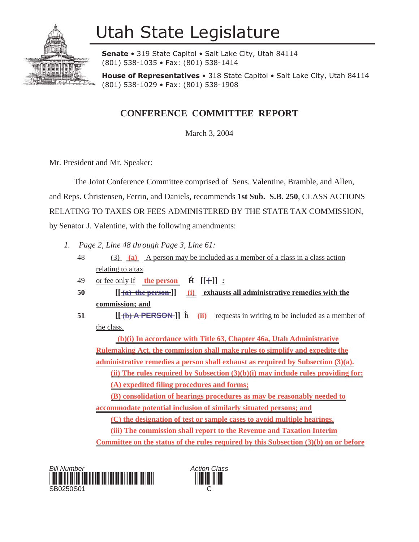

## Utah State Legislature

**Senate** • 319 State Capitol • Salt Lake City, Utah 84114 (801) 538-1035 • Fax: (801) 538-1414

**House of Representatives** • 318 State Capitol • Salt Lake City, Utah 84114 (801) 538-1029 • Fax: (801) 538-1908

## **CONFERENCE COMMITTEE REPORT**

March 3, 2004

Mr. President and Mr. Speaker:

 The Joint Conference Committee comprised of Sens. Valentine, Bramble, and Allen, and Reps. Christensen, Ferrin, and Daniels, recommends **1st Sub. S.B. 250**, CLASS ACTIONS RELATING TO TAXES OR FEES ADMINISTERED BY THE STATE TAX COMMISSION, by Senator J. Valentine, with the following amendments:

- *1. Page 2, Line 48 through Page 3, Line 61:*
	- 48 (3) **(a)** A person may be included as a member of a class in a class action relating to a tax
	- 49 or fee only if the person  $\hat{H}$  [ $[+]$ ] :
	- **50 [** $\frac{[a \cdot \text{the person}]}{[b \cdot \text{exhausts all administrative remedies with the input set}]}$ **commission; and**
	- **51 [[ (b) A PERSON**]] **h** (ii) requests in writing to be included as a member of the class.

 **(b)(i) In accordance with Title 63, Chapter 46a, Utah Administrative Rulemaking Act, the commission shall make rules to simplify and expedite the administrative remedies a person shall exhaust as required by Subsection (3)(a).**

**(ii) The rules required by Subsection (3)(b)(i) may include rules providing for: (A) expedited filing procedures and forms;**

**(B) consolidation of hearings procedures as may be reasonably needed to**

**accommodate potential inclusion of similarly situated persons; and**

**(C) the designation of test or sample cases to avoid multiple hearings.**

**(iii) The commission shall report to the Revenue and Taxation Interim**

**Committee on the status of the rules required by this Subsection (3)(b) on or before**